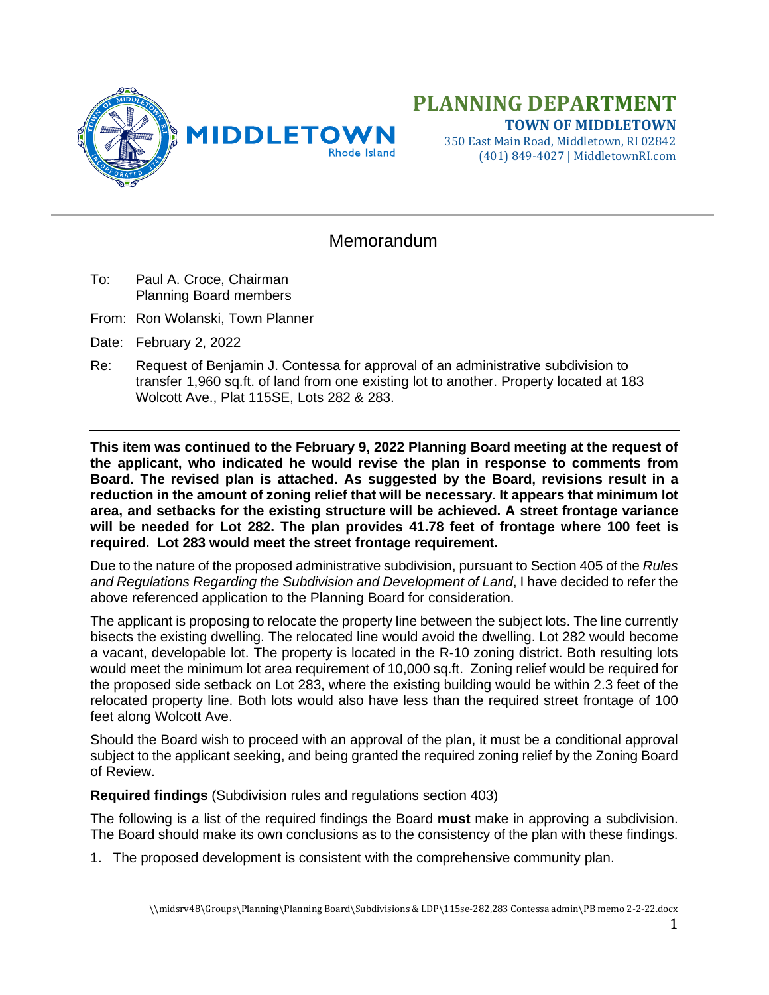

## **PLANNING DEPARTMENT TOWN OF MIDDLETOWN**

350 East Main Road, Middletown, RI 02842 (401) 849-4027 | MiddletownRI.com

## **Memorandum**

- To: Paul A. Croce, Chairman Planning Board members
- From: Ron Wolanski, Town Planner
- Date: February 2, 2022
- Re: Request of Benjamin J. Contessa for approval of an administrative subdivision to transfer 1,960 sq.ft. of land from one existing lot to another. Property located at 183 Wolcott Ave., Plat 115SE, Lots 282 & 283.

**This item was continued to the February 9, 2022 Planning Board meeting at the request of the applicant, who indicated he would revise the plan in response to comments from Board. The revised plan is attached. As suggested by the Board, revisions result in a reduction in the amount of zoning relief that will be necessary. It appears that minimum lot area, and setbacks for the existing structure will be achieved. A street frontage variance will be needed for Lot 282. The plan provides 41.78 feet of frontage where 100 feet is required. Lot 283 would meet the street frontage requirement.**

Due to the nature of the proposed administrative subdivision, pursuant to Section 405 of the *Rules and Regulations Regarding the Subdivision and Development of Land*, I have decided to refer the above referenced application to the Planning Board for consideration.

The applicant is proposing to relocate the property line between the subject lots. The line currently bisects the existing dwelling. The relocated line would avoid the dwelling. Lot 282 would become a vacant, developable lot. The property is located in the R-10 zoning district. Both resulting lots would meet the minimum lot area requirement of 10,000 sq.ft. Zoning relief would be required for the proposed side setback on Lot 283, where the existing building would be within 2.3 feet of the relocated property line. Both lots would also have less than the required street frontage of 100 feet along Wolcott Ave.

Should the Board wish to proceed with an approval of the plan, it must be a conditional approval subject to the applicant seeking, and being granted the required zoning relief by the Zoning Board of Review.

**Required findings** (Subdivision rules and regulations section 403)

The following is a list of the required findings the Board **must** make in approving a subdivision. The Board should make its own conclusions as to the consistency of the plan with these findings.

1. The proposed development is consistent with the comprehensive community plan.